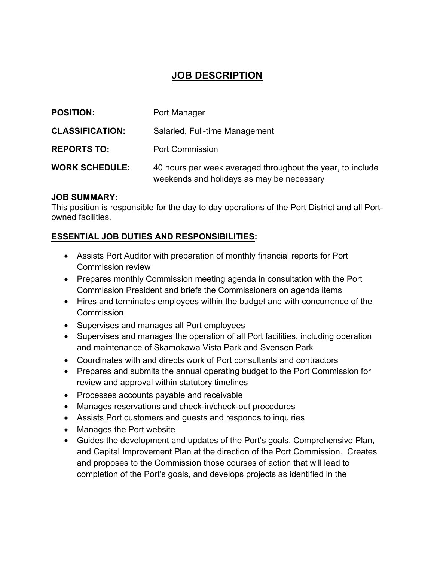# **JOB DESCRIPTION**

| <b>POSITION:</b>       | Port Manager                                                                                            |
|------------------------|---------------------------------------------------------------------------------------------------------|
| <b>CLASSIFICATION:</b> | Salaried, Full-time Management                                                                          |
| <b>REPORTS TO:</b>     | <b>Port Commission</b>                                                                                  |
| <b>WORK SCHEDULE:</b>  | 40 hours per week averaged throughout the year, to include<br>weekends and holidays as may be necessary |

#### **JOB SUMMARY:**

This position is responsible for the day to day operations of the Port District and all Portowned facilities.

#### **ESSENTIAL JOB DUTIES AND RESPONSIBILITIES:**

- Assists Port Auditor with preparation of monthly financial reports for Port Commission review
- Prepares monthly Commission meeting agenda in consultation with the Port Commission President and briefs the Commissioners on agenda items
- Hires and terminates employees within the budget and with concurrence of the **Commission**
- Supervises and manages all Port employees
- Supervises and manages the operation of all Port facilities, including operation and maintenance of Skamokawa Vista Park and Svensen Park
- Coordinates with and directs work of Port consultants and contractors
- Prepares and submits the annual operating budget to the Port Commission for review and approval within statutory timelines
- Processes accounts payable and receivable
- Manages reservations and check-in/check-out procedures
- Assists Port customers and guests and responds to inquiries
- Manages the Port website
- Guides the development and updates of the Port's goals, Comprehensive Plan, and Capital Improvement Plan at the direction of the Port Commission. Creates and proposes to the Commission those courses of action that will lead to completion of the Port's goals, and develops projects as identified in the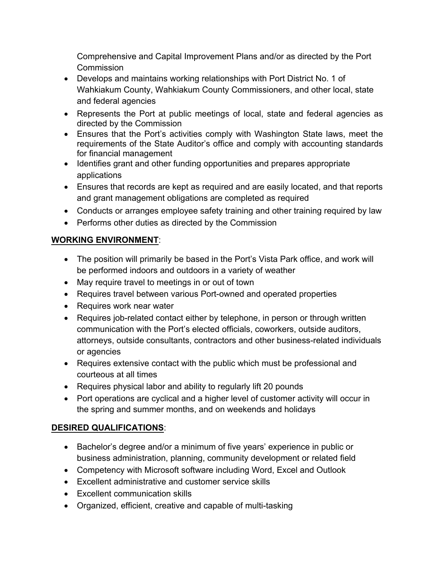Comprehensive and Capital Improvement Plans and/or as directed by the Port Commission

- Develops and maintains working relationships with Port District No. 1 of Wahkiakum County, Wahkiakum County Commissioners, and other local, state and federal agencies
- Represents the Port at public meetings of local, state and federal agencies as directed by the Commission
- Ensures that the Port's activities comply with Washington State laws, meet the requirements of the State Auditor's office and comply with accounting standards for financial management
- Identifies grant and other funding opportunities and prepares appropriate applications
- Ensures that records are kept as required and are easily located, and that reports and grant management obligations are completed as required
- Conducts or arranges employee safety training and other training required by law
- Performs other duties as directed by the Commission

### **WORKING ENVIRONMENT**:

- The position will primarily be based in the Port's Vista Park office, and work will be performed indoors and outdoors in a variety of weather
- May require travel to meetings in or out of town
- Requires travel between various Port-owned and operated properties
- Requires work near water
- Requires job-related contact either by telephone, in person or through written communication with the Port's elected officials, coworkers, outside auditors, attorneys, outside consultants, contractors and other business-related individuals or agencies
- Requires extensive contact with the public which must be professional and courteous at all times
- Requires physical labor and ability to regularly lift 20 pounds
- Port operations are cyclical and a higher level of customer activity will occur in the spring and summer months, and on weekends and holidays

## **DESIRED QUALIFICATIONS**:

- Bachelor's degree and/or a minimum of five years' experience in public or business administration, planning, community development or related field
- Competency with Microsoft software including Word, Excel and Outlook
- Excellent administrative and customer service skills
- Excellent communication skills
- Organized, efficient, creative and capable of multi-tasking